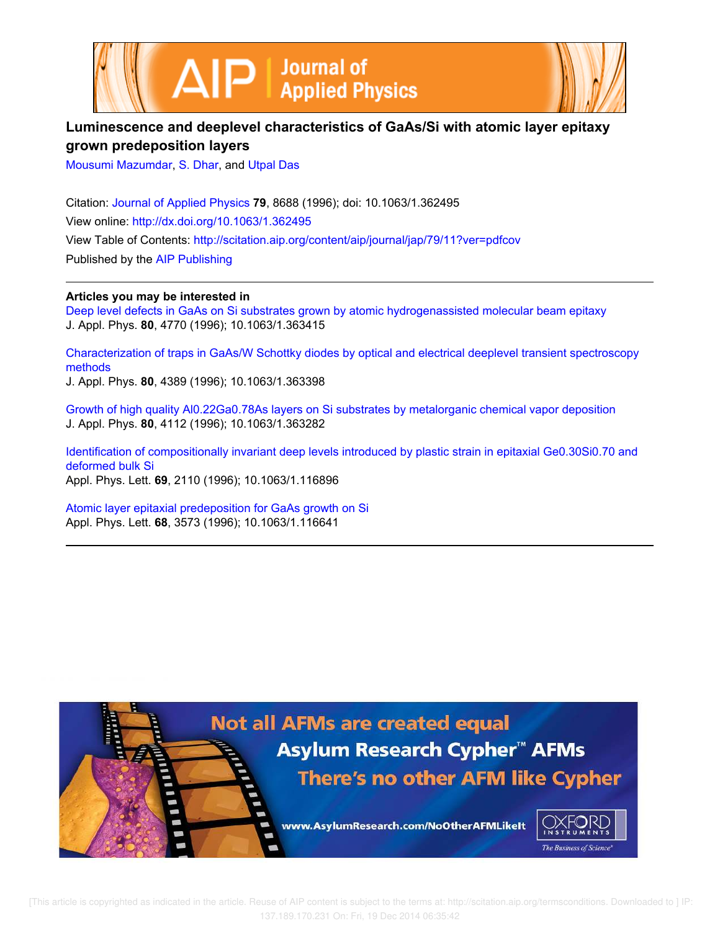



# **Luminescence and deeplevel characteristics of GaAs/Si with atomic layer epitaxy grown predeposition layers**

Mousumi Mazumdar, S. Dhar, and Utpal Das

Citation: Journal of Applied Physics **79**, 8688 (1996); doi: 10.1063/1.362495 View online: http://dx.doi.org/10.1063/1.362495 View Table of Contents: http://scitation.aip.org/content/aip/journal/jap/79/11?ver=pdfcov Published by the AIP Publishing

**Articles you may be interested in**

Deep level defects in GaAs on Si substrates grown by atomic hydrogenassisted molecular beam epitaxy J. Appl. Phys. **80**, 4770 (1996); 10.1063/1.363415

Characterization of traps in GaAs/W Schottky diodes by optical and electrical deeplevel transient spectroscopy methods

J. Appl. Phys. **80**, 4389 (1996); 10.1063/1.363398

Growth of high quality Al0.22Ga0.78As layers on Si substrates by metalorganic chemical vapor deposition J. Appl. Phys. **80**, 4112 (1996); 10.1063/1.363282

Identification of compositionally invariant deep levels introduced by plastic strain in epitaxial Ge0.30Si0.70 and deformed bulk Si Appl. Phys. Lett. **69**, 2110 (1996); 10.1063/1.116896

Atomic layer epitaxial predeposition for GaAs growth on Si Appl. Phys. Lett. **68**, 3573 (1996); 10.1063/1.116641



 [This article is copyrighted as indicated in the article. Reuse of AIP content is subject to the terms at: http://scitation.aip.org/termsconditions. Downloaded to ] IP: 137.189.170.231 On: Fri, 19 Dec 2014 06:35:42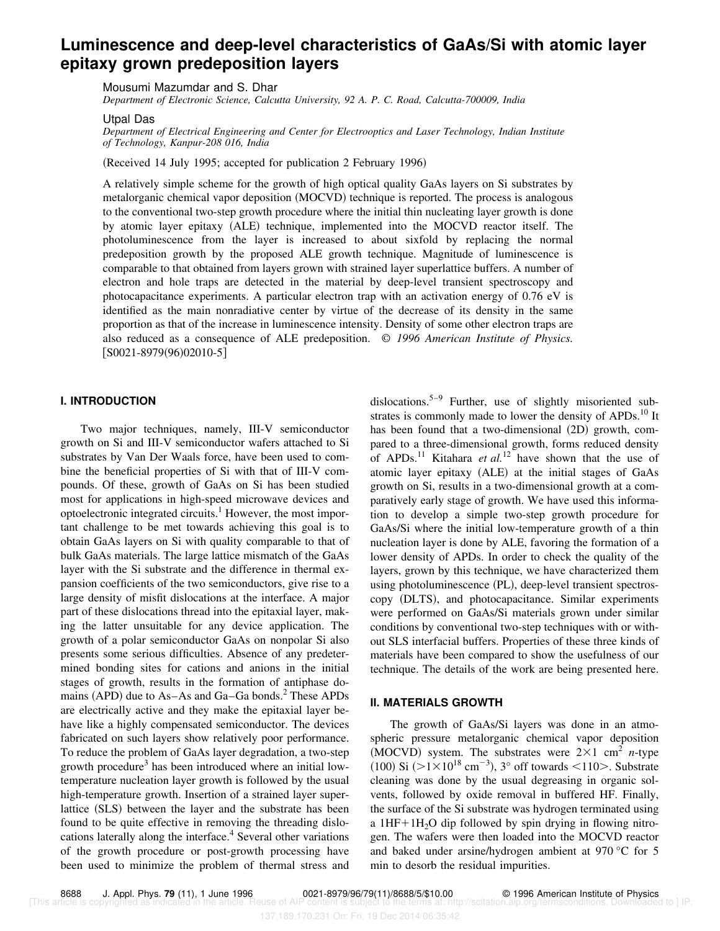# **Luminescence and deep-level characteristics of GaAs/Si with atomic layer epitaxy grown predeposition layers**

Mousumi Mazumdar and S. Dhar

*Department of Electronic Science, Calcutta University, 92 A. P. C. Road, Calcutta-700009, India*

Utpal Das

*Department of Electrical Engineering and Center for Electrooptics and Laser Technology, Indian Institute of Technology, Kanpur-208 016, India*

(Received 14 July 1995; accepted for publication 2 February 1996)

A relatively simple scheme for the growth of high optical quality GaAs layers on Si substrates by metalorganic chemical vapor deposition (MOCVD) technique is reported. The process is analogous to the conventional two-step growth procedure where the initial thin nucleating layer growth is done by atomic layer epitaxy (ALE) technique, implemented into the MOCVD reactor itself. The photoluminescence from the layer is increased to about sixfold by replacing the normal predeposition growth by the proposed ALE growth technique. Magnitude of luminescence is comparable to that obtained from layers grown with strained layer superlattice buffers. A number of electron and hole traps are detected in the material by deep-level transient spectroscopy and photocapacitance experiments. A particular electron trap with an activation energy of 0.76 eV is identified as the main nonradiative center by virtue of the decrease of its density in the same proportion as that of the increase in luminescence intensity. Density of some other electron traps are also reduced as a consequence of ALE predeposition. © *1996 American Institute of Physics.*  $[$ S0021-8979(96)02010-5]

# **I. INTRODUCTION**

Two major techniques, namely, III-V semiconductor growth on Si and III-V semiconductor wafers attached to Si substrates by Van Der Waals force, have been used to combine the beneficial properties of Si with that of III-V compounds. Of these, growth of GaAs on Si has been studied most for applications in high-speed microwave devices and optoelectronic integrated circuits.<sup>1</sup> However, the most important challenge to be met towards achieving this goal is to obtain GaAs layers on Si with quality comparable to that of bulk GaAs materials. The large lattice mismatch of the GaAs layer with the Si substrate and the difference in thermal expansion coefficients of the two semiconductors, give rise to a large density of misfit dislocations at the interface. A major part of these dislocations thread into the epitaxial layer, making the latter unsuitable for any device application. The growth of a polar semiconductor GaAs on nonpolar Si also presents some serious difficulties. Absence of any predetermined bonding sites for cations and anions in the initial stages of growth, results in the formation of antiphase domains (APD) due to As–As and Ga–Ga bonds. $<sup>2</sup>$  These APDs</sup> are electrically active and they make the epitaxial layer behave like a highly compensated semiconductor. The devices fabricated on such layers show relatively poor performance. To reduce the problem of GaAs layer degradation, a two-step growth procedure<sup>3</sup> has been introduced where an initial lowtemperature nucleation layer growth is followed by the usual high-temperature growth. Insertion of a strained layer superlattice (SLS) between the layer and the substrate has been found to be quite effective in removing the threading dislocations laterally along the interface.<sup>4</sup> Several other variations of the growth procedure or post-growth processing have been used to minimize the problem of thermal stress and

dislocations.<sup>5–9</sup> Further, use of slightly misoriented substrates is commonly made to lower the density of APDs.<sup>10</sup> It has been found that a two-dimensional  $(2D)$  growth, compared to a three-dimensional growth, forms reduced density of APDs.<sup>11</sup> Kitahara *et al.*<sup>12</sup> have shown that the use of atomic layer epitaxy (ALE) at the initial stages of GaAs growth on Si, results in a two-dimensional growth at a comparatively early stage of growth. We have used this information to develop a simple two-step growth procedure for GaAs/Si where the initial low-temperature growth of a thin nucleation layer is done by ALE, favoring the formation of a lower density of APDs. In order to check the quality of the layers, grown by this technique, we have characterized them using photoluminescence (PL), deep-level transient spectroscopy (DLTS), and photocapacitance. Similar experiments were performed on GaAs/Si materials grown under similar conditions by conventional two-step techniques with or without SLS interfacial buffers. Properties of these three kinds of materials have been compared to show the usefulness of our technique. The details of the work are being presented here.

### **II. MATERIALS GROWTH**

The growth of GaAs/Si layers was done in an atmospheric pressure metalorganic chemical vapor deposition  $(MOCVD)$  system. The substrates were  $2\times1$  cm<sup>2</sup> *n*-type  $(100)$  Si  $(>1 \times 10^{18}$  cm<sup>-3</sup>), 3° off towards <110>. Substrate cleaning was done by the usual degreasing in organic solvents, followed by oxide removal in buffered HF. Finally, the surface of the Si substrate was hydrogen terminated using a  $1HF+1H<sub>2</sub>O$  dip followed by spin drying in flowing nitrogen. The wafers were then loaded into the MOCVD reactor and baked under arsine/hydrogen ambient at 970 °C for 5 min to desorb the residual impurities.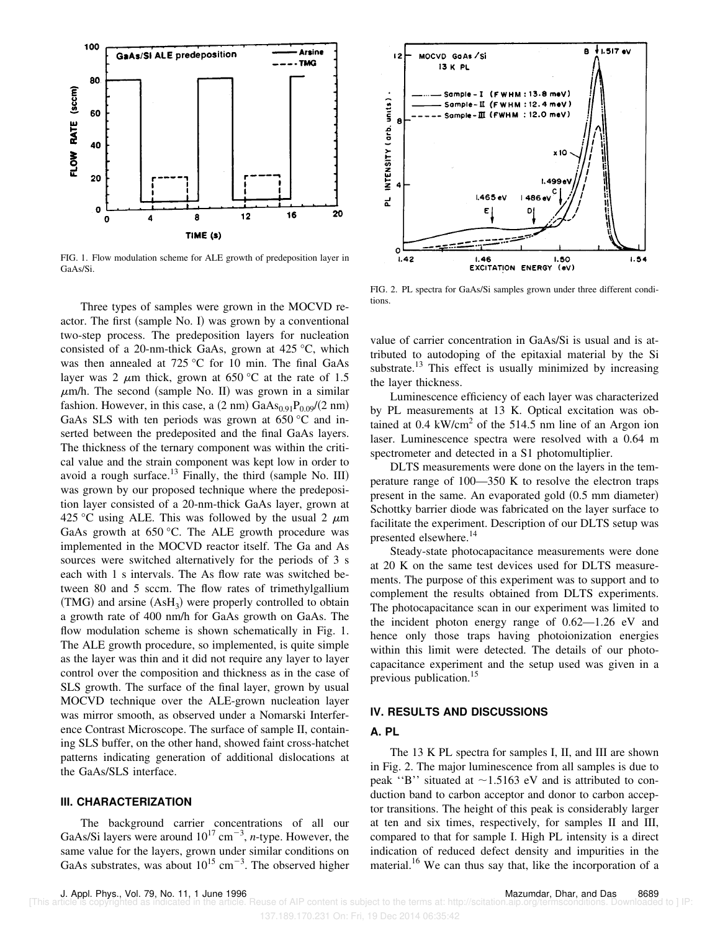

FIG. 1. Flow modulation scheme for ALE growth of predeposition layer in GaAs/Si.

Three types of samples were grown in the MOCVD reactor. The first  $(sample No. I)$  was grown by a conventional two-step process. The predeposition layers for nucleation consisted of a 20-nm-thick GaAs, grown at 425 °C, which was then annealed at 725 °C for 10 min. The final GaAs layer was 2  $\mu$ m thick, grown at 650 °C at the rate of 1.5  $\mu$ m/h. The second (sample No. II) was grown in a similar fashion. However, in this case, a  $(2 \text{ nm})$  GaAs<sub>0.91</sub>P<sub>0.09</sub>/ $(2 \text{ nm})$ GaAs SLS with ten periods was grown at 650 °C and inserted between the predeposited and the final GaAs layers. The thickness of the ternary component was within the critical value and the strain component was kept low in order to avoid a rough surface.<sup>13</sup> Finally, the third (sample No. III) was grown by our proposed technique where the predeposition layer consisted of a 20-nm-thick GaAs layer, grown at 425 °C using ALE. This was followed by the usual 2  $\mu$ m GaAs growth at  $650^{\circ}$ C. The ALE growth procedure was implemented in the MOCVD reactor itself. The Ga and As sources were switched alternatively for the periods of 3 s each with 1 s intervals. The As flow rate was switched between 80 and 5 sccm. The flow rates of trimethylgallium  $(TMG)$  and arsine  $(AsH<sub>3</sub>)$  were properly controlled to obtain a growth rate of 400 nm/h for GaAs growth on GaAs. The flow modulation scheme is shown schematically in Fig. 1. The ALE growth procedure, so implemented, is quite simple as the layer was thin and it did not require any layer to layer control over the composition and thickness as in the case of SLS growth. The surface of the final layer, grown by usual MOCVD technique over the ALE-grown nucleation layer was mirror smooth, as observed under a Nomarski Interference Contrast Microscope. The surface of sample II, containing SLS buffer, on the other hand, showed faint cross-hatchet patterns indicating generation of additional dislocations at the GaAs/SLS interface.

## **III. CHARACTERIZATION**

The background carrier concentrations of all our GaAs/Si layers were around  $10^{17}$  cm<sup>-3</sup>, *n*-type. However, the same value for the layers, grown under similar conditions on GaAs substrates, was about  $10^{15}$  cm<sup>-3</sup>. The observed higher



FIG. 2. PL spectra for GaAs/Si samples grown under three different conditions.

value of carrier concentration in GaAs/Si is usual and is attributed to autodoping of the epitaxial material by the Si substrate.<sup>13</sup> This effect is usually minimized by increasing the layer thickness.

Luminescence efficiency of each layer was characterized by PL measurements at 13 K. Optical excitation was obtained at  $0.4 \text{ kW/cm}^2$  of the 514.5 nm line of an Argon ion laser. Luminescence spectra were resolved with a 0.64 m spectrometer and detected in a S1 photomultiplier.

DLTS measurements were done on the layers in the temperature range of 100—350 K to resolve the electron traps present in the same. An evaporated gold  $(0.5 \text{ mm diameter})$ Schottky barrier diode was fabricated on the layer surface to facilitate the experiment. Description of our DLTS setup was presented elsewhere.<sup>14</sup>

Steady-state photocapacitance measurements were done at 20 K on the same test devices used for DLTS measurements. The purpose of this experiment was to support and to complement the results obtained from DLTS experiments. The photocapacitance scan in our experiment was limited to the incident photon energy range of 0.62—1.26 eV and hence only those traps having photoionization energies within this limit were detected. The details of our photocapacitance experiment and the setup used was given in a previous publication.<sup>15</sup>

## **IV. RESULTS AND DISCUSSIONS**

#### **A. PL**

The 13 K PL spectra for samples I, II, and III are shown in Fig. 2. The major luminescence from all samples is due to peak "B" situated at  $\sim$ 1.5163 eV and is attributed to conduction band to carbon acceptor and donor to carbon acceptor transitions. The height of this peak is considerably larger at ten and six times, respectively, for samples II and III, compared to that for sample I. High PL intensity is a direct indication of reduced defect density and impurities in the material.<sup>16</sup> We can thus say that, like the incorporation of a

J. Appl. Phys., Vol. 79, No. 11, 1 June 1996 Mazumdar, Dhar, and Das 8689 Reuse of AIP content is subject to the terms at: http://scitation.aip.org/termsconditions. Downloaded to ] IP

<sup>137.189.170.231</sup> On: Fri, 19 Dec 2014 06:35:42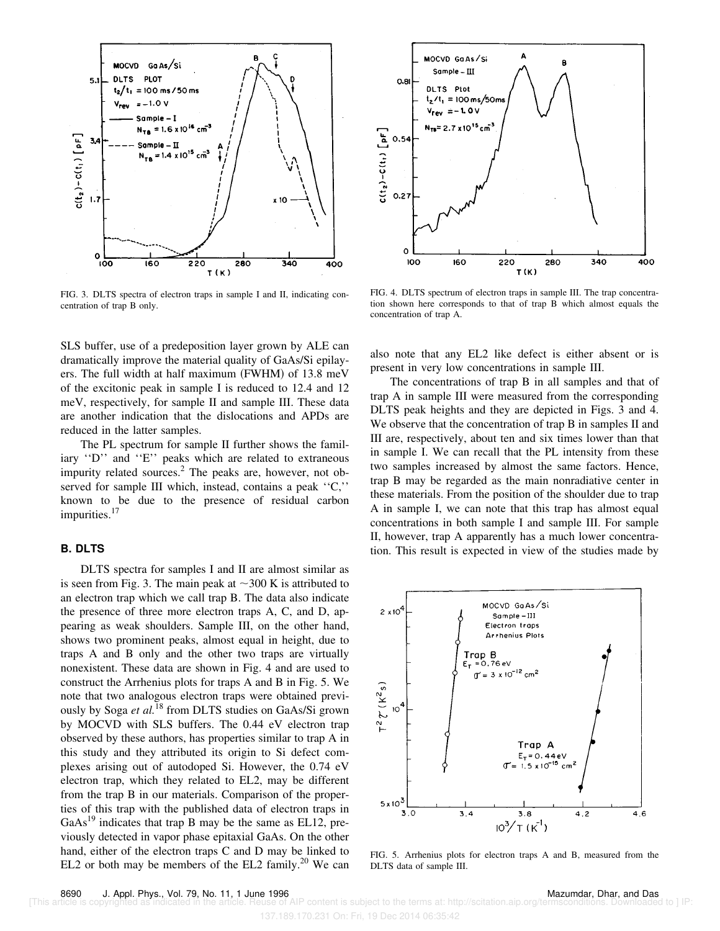

FIG. 3. DLTS spectra of electron traps in sample I and II, indicating concentration of trap B only.

SLS buffer, use of a predeposition layer grown by ALE can dramatically improve the material quality of GaAs/Si epilayers. The full width at half maximum (FWHM) of  $13.8 \text{ meV}$ of the excitonic peak in sample I is reduced to 12.4 and 12 meV, respectively, for sample II and sample III. These data are another indication that the dislocations and APDs are reduced in the latter samples.

The PL spectrum for sample II further shows the familiary ''D'' and ''E'' peaks which are related to extraneous impurity related sources. $^{2}$  The peaks are, however, not observed for sample III which, instead, contains a peak ''C,'' known to be due to the presence of residual carbon impurities.<sup>17</sup>

# **B. DLTS**

DLTS spectra for samples I and II are almost similar as is seen from Fig. 3. The main peak at  $\sim$ 300 K is attributed to an electron trap which we call trap B. The data also indicate the presence of three more electron traps A, C, and D, appearing as weak shoulders. Sample III, on the other hand, shows two prominent peaks, almost equal in height, due to traps A and B only and the other two traps are virtually nonexistent. These data are shown in Fig. 4 and are used to construct the Arrhenius plots for traps A and B in Fig. 5. We note that two analogous electron traps were obtained previously by Soga *et al.*<sup>18</sup> from DLTS studies on GaAs/Si grown by MOCVD with SLS buffers. The 0.44 eV electron trap observed by these authors, has properties similar to trap A in this study and they attributed its origin to Si defect complexes arising out of autodoped Si. However, the 0.74 eV electron trap, which they related to EL2, may be different from the trap B in our materials. Comparison of the properties of this trap with the published data of electron traps in  $GaAs<sup>19</sup>$  indicates that trap B may be the same as EL12, previously detected in vapor phase epitaxial GaAs. On the other hand, either of the electron traps C and D may be linked to EL2 or both may be members of the EL2 family.<sup>20</sup> We can



FIG. 4. DLTS spectrum of electron traps in sample III. The trap concentration shown here corresponds to that of trap B which almost equals the concentration of trap A.

also note that any EL2 like defect is either absent or is present in very low concentrations in sample III.

The concentrations of trap B in all samples and that of trap A in sample III were measured from the corresponding DLTS peak heights and they are depicted in Figs. 3 and 4. We observe that the concentration of trap B in samples II and III are, respectively, about ten and six times lower than that in sample I. We can recall that the PL intensity from these two samples increased by almost the same factors. Hence, trap B may be regarded as the main nonradiative center in these materials. From the position of the shoulder due to trap A in sample I, we can note that this trap has almost equal concentrations in both sample I and sample III. For sample II, however, trap A apparently has a much lower concentration. This result is expected in view of the studies made by



FIG. 5. Arrhenius plots for electron traps A and B, measured from the DLTS data of sample III.

137.189.170.231 On: Fri, 19 Dec 2014 06:35:42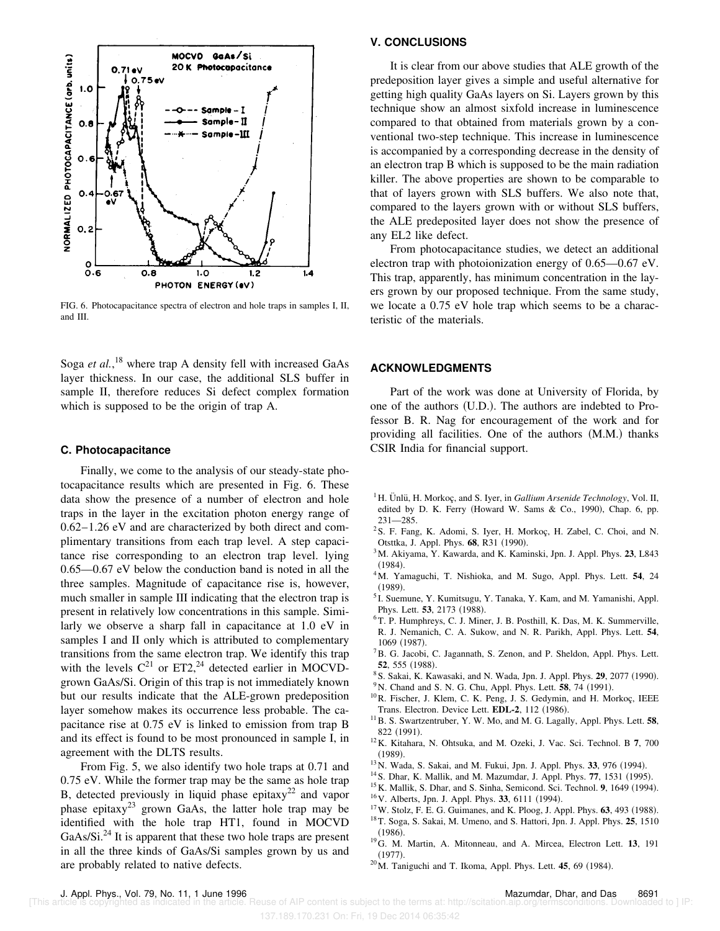

FIG. 6. Photocapacitance spectra of electron and hole traps in samples I, II, and III.

Soga *et al.*, <sup>18</sup> where trap A density fell with increased GaAs layer thickness. In our case, the additional SLS buffer in sample II, therefore reduces Si defect complex formation which is supposed to be the origin of trap A.

### **C. Photocapacitance**

Finally, we come to the analysis of our steady-state photocapacitance results which are presented in Fig. 6. These data show the presence of a number of electron and hole traps in the layer in the excitation photon energy range of 0.62–1.26 eV and are characterized by both direct and complimentary transitions from each trap level. A step capacitance rise corresponding to an electron trap level. lying 0.65—0.67 eV below the conduction band is noted in all the three samples. Magnitude of capacitance rise is, however, much smaller in sample III indicating that the electron trap is present in relatively low concentrations in this sample. Similarly we observe a sharp fall in capacitance at 1.0 eV in samples I and II only which is attributed to complementary transitions from the same electron trap. We identify this trap with the levels  $C^{21}$  or ET2,<sup>24</sup> detected earlier in MOCVDgrown GaAs/Si. Origin of this trap is not immediately known but our results indicate that the ALE-grown predeposition layer somehow makes its occurrence less probable. The capacitance rise at 0.75 eV is linked to emission from trap B and its effect is found to be most pronounced in sample I, in agreement with the DLTS results.

From Fig. 5, we also identify two hole traps at 0.71 and 0.75 eV. While the former trap may be the same as hole trap B, detected previously in liquid phase epitaxy<sup>22</sup> and vapor phase epitaxy<sup>23</sup> grown GaAs, the latter hole trap may be identified with the hole trap HT1, found in MOCVD  $GaAs/Si.<sup>24</sup>$  It is apparent that these two hole traps are present in all the three kinds of GaAs/Si samples grown by us and are probably related to native defects.

## **V. CONCLUSIONS**

It is clear from our above studies that ALE growth of the predeposition layer gives a simple and useful alternative for getting high quality GaAs layers on Si. Layers grown by this technique show an almost sixfold increase in luminescence compared to that obtained from materials grown by a conventional two-step technique. This increase in luminescence is accompanied by a corresponding decrease in the density of an electron trap B which is supposed to be the main radiation killer. The above properties are shown to be comparable to that of layers grown with SLS buffers. We also note that, compared to the layers grown with or without SLS buffers, the ALE predeposited layer does not show the presence of any EL2 like defect.

From photocapacitance studies, we detect an additional electron trap with photoionization energy of 0.65—0.67 eV. This trap, apparently, has minimum concentration in the layers grown by our proposed technique. From the same study, we locate a 0.75 eV hole trap which seems to be a characteristic of the materials.

# **ACKNOWLEDGMENTS**

Part of the work was done at University of Florida, by one of the authors  $(U.D.)$ . The authors are indebted to Professor B. R. Nag for encouragement of the work and for providing all facilities. One of the authors  $(M.M.)$  thanks CSIR India for financial support.

- <sup>1</sup>H. Unlü, H. Morkoç, and S. Iyer, in *Gallium Arsenide Technology*, Vol. II, edited by D. K. Ferry (Howard W. Sams & Co., 1990), Chap. 6, pp. 231—285.
- <sup>2</sup>S. F. Fang, K. Adomi, S. Iyer, H. Morkoç, H. Zabel, C. Choi, and N. Otsttka, J. Appl. Phys. 68, R31 (1990).
- <sup>3</sup>M. Akiyama, Y. Kawarda, and K. Kaminski, Jpn. J. Appl. Phys. **23**, L843  $(1984)$ .
- <sup>4</sup>M. Yamaguchi, T. Nishioka, and M. Sugo, Appl. Phys. Lett. **54**, 24  $(1989).$
- <sup>5</sup> I. Suemune, Y. Kumitsugu, Y. Tanaka, Y. Kam, and M. Yamanishi, Appl. Phys. Lett. 53, 2173 (1988).
- <sup>6</sup>T. P. Humphreys, C. J. Miner, J. B. Posthill, K. Das, M. K. Summerville, R. J. Nemanich, C. A. Sukow, and N. R. Parikh, Appl. Phys. Lett. **54**, 1069 (1987).
- ${}^{7}$ B. G. Jacobi, C. Jagannath, S. Zenon, and P. Sheldon, Appl. Phys. Lett. 52, 555 (1988).
- <sup>8</sup> S. Sakai, K. Kawasaki, and N. Wada, Jpn. J. Appl. Phys. 29, 2077 (1990).
- $9^9$ N. Chand and S. N. G. Chu, Appl. Phys. Lett. **58**, 74  $(1991)$ .
- <sup>10</sup>R. Fischer, J. Klem, C. K. Peng, J. S. Gedymin, and H. Morkoç, IEEE Trans. Electron. Device Lett. **EDL-2**, 112 (1986).
- <sup>11</sup>B. S. Swartzentruber, Y. W. Mo, and M. G. Lagally, Appl. Phys. Lett. **58**, 822 (1991).
- <sup>12</sup>K. Kitahara, N. Ohtsuka, and M. Ozeki, J. Vac. Sci. Technol. B **7**, 700  $(1989).$
- <sup>13</sup> N. Wada, S. Sakai, and M. Fukui, Jpn. J. Appl. Phys. 33, 976 (1994).
- <sup>14</sup> S. Dhar, K. Mallik, and M. Mazumdar, J. Appl. Phys. 77, 1531 (1995).
- <sup>15</sup> K. Mallik, S. Dhar, and S. Sinha, Semicond. Sci. Technol. **9**, 1649 (1994).
- <sup>16</sup> V. Alberts, Jpn. J. Appl. Phys. **33**, 6111 (1994).
- $17$ W. Stolz, F. E. G. Guimanes, and K. Ploog, J. Appl. Phys.  $63$ , 493 (1988).
- <sup>18</sup>T. Soga, S. Sakai, M. Umeno, and S. Hattori, Jpn. J. Appl. Phys. **25**, 1510  $(1986)$ .
- <sup>19</sup>G. M. Martin, A. Mitonneau, and A. Mircea, Electron Lett. **13**, 191  $(1977)$ .
- $20$ M. Taniguchi and T. Ikoma, Appl. Phys. Lett. **45**, 69 (1984).

137.189.170.231 On: Fri, 19 Dec 2014 06:35:42